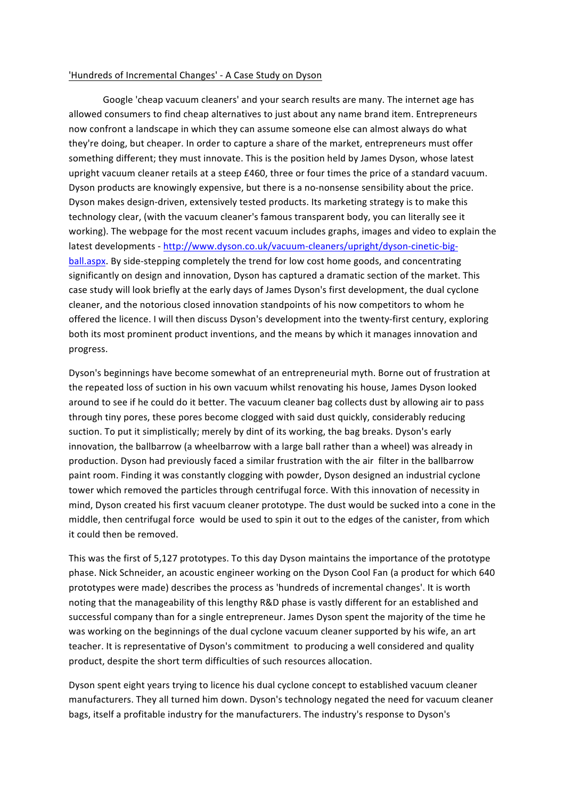## 'Hundreds of Incremental Changes' - A Case Study on Dyson

Google 'cheap vacuum cleaners' and your search results are many. The internet age has allowed consumers to find cheap alternatives to just about any name brand item. Entrepreneurs now confront a landscape in which they can assume someone else can almost always do what they're doing, but cheaper. In order to capture a share of the market, entrepreneurs must offer something different; they must innovate. This is the position held by James Dyson, whose latest upright vacuum cleaner retails at a steep £460, three or four times the price of a standard vacuum. Dyson products are knowingly expensive, but there is a no-nonsense sensibility about the price. Dyson makes design-driven, extensively tested products. Its marketing strategy is to make this technology clear, (with the vacuum cleaner's famous transparent body, you can literally see it working). The webpage for the most recent vacuum includes graphs, images and video to explain the latest developments - http://www.dyson.co.uk/vacuum-cleaners/upright/dyson-cinetic-bigball.aspx. By side-stepping completely the trend for low cost home goods, and concentrating significantly on design and innovation, Dyson has captured a dramatic section of the market. This case study will look briefly at the early days of James Dyson's first development, the dual cyclone cleaner, and the notorious closed innovation standpoints of his now competitors to whom he offered the licence. I will then discuss Dyson's development into the twenty-first century, exploring both its most prominent product inventions, and the means by which it manages innovation and progress.

Dyson's beginnings have become somewhat of an entrepreneurial myth. Borne out of frustration at the repeated loss of suction in his own vacuum whilst renovating his house, James Dyson looked around to see if he could do it better. The vacuum cleaner bag collects dust by allowing air to pass through tiny pores, these pores become clogged with said dust quickly, considerably reducing suction. To put it simplistically; merely by dint of its working, the bag breaks. Dyson's early innovation, the ballbarrow (a wheelbarrow with a large ball rather than a wheel) was already in production. Dyson had previously faced a similar frustration with the air filter in the ballbarrow paint room. Finding it was constantly clogging with powder, Dyson designed an industrial cyclone tower which removed the particles through centrifugal force. With this innovation of necessity in mind, Dyson created his first vacuum cleaner prototype. The dust would be sucked into a cone in the middle, then centrifugal force would be used to spin it out to the edges of the canister, from which it could then be removed.

This was the first of 5,127 prototypes. To this day Dyson maintains the importance of the prototype phase. Nick Schneider, an acoustic engineer working on the Dyson Cool Fan (a product for which 640 prototypes were made) describes the process as 'hundreds of incremental changes'. It is worth noting that the manageability of this lengthy R&D phase is vastly different for an established and successful company than for a single entrepreneur. James Dyson spent the majority of the time he was working on the beginnings of the dual cyclone vacuum cleaner supported by his wife, an art teacher. It is representative of Dyson's commitment to producing a well considered and quality product, despite the short term difficulties of such resources allocation.

Dyson spent eight years trying to licence his dual cyclone concept to established vacuum cleaner manufacturers. They all turned him down. Dyson's technology negated the need for vacuum cleaner bags, itself a profitable industry for the manufacturers. The industry's response to Dyson's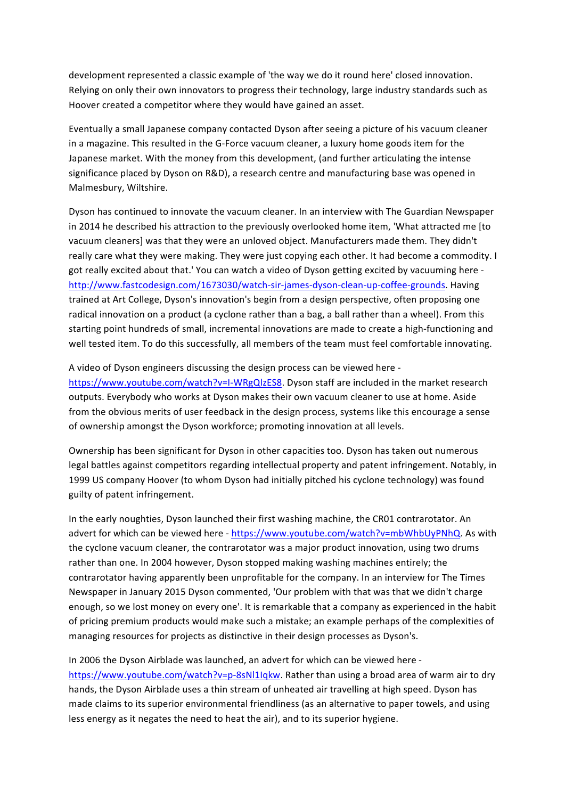development represented a classic example of 'the way we do it round here' closed innovation. Relying on only their own innovators to progress their technology, large industry standards such as Hoover created a competitor where they would have gained an asset.

Eventually a small Japanese company contacted Dyson after seeing a picture of his vacuum cleaner in a magazine. This resulted in the G-Force vacuum cleaner, a luxury home goods item for the Japanese market. With the money from this development, (and further articulating the intense significance placed by Dyson on R&D), a research centre and manufacturing base was opened in Malmesbury, Wiltshire.

Dyson has continued to innovate the vacuum cleaner. In an interview with The Guardian Newspaper in 2014 he described his attraction to the previously overlooked home item, 'What attracted me [to vacuum cleaners] was that they were an unloved object. Manufacturers made them. They didn't really care what they were making. They were just copying each other. It had become a commodity. I got really excited about that.' You can watch a video of Dyson getting excited by vacuuming here http://www.fastcodesign.com/1673030/watch-sir-james-dyson-clean-up-coffee-grounds. Having trained at Art College, Dyson's innovation's begin from a design perspective, often proposing one radical innovation on a product (a cyclone rather than a bag, a ball rather than a wheel). From this starting point hundreds of small, incremental innovations are made to create a high-functioning and well tested item. To do this successfully, all members of the team must feel comfortable innovating.

A video of Dyson engineers discussing the design process can be viewed here https://www.youtube.com/watch?v=I-WRgQlzES8. Dyson staff are included in the market research outputs. Everybody who works at Dyson makes their own vacuum cleaner to use at home. Aside from the obvious merits of user feedback in the design process, systems like this encourage a sense of ownership amongst the Dyson workforce; promoting innovation at all levels.

Ownership has been significant for Dyson in other capacities too. Dyson has taken out numerous legal battles against competitors regarding intellectual property and patent infringement. Notably, in 1999 US company Hoover (to whom Dyson had initially pitched his cyclone technology) was found guilty of patent infringement.

In the early noughties, Dyson launched their first washing machine, the CR01 contrarotator. An advert for which can be viewed here - https://www.youtube.com/watch?v=mbWhbUyPNhQ. As with the cyclone vacuum cleaner, the contrarotator was a major product innovation, using two drums rather than one. In 2004 however, Dyson stopped making washing machines entirely; the contrarotator having apparently been unprofitable for the company. In an interview for The Times Newspaper in January 2015 Dyson commented, 'Our problem with that was that we didn't charge enough, so we lost money on every one'. It is remarkable that a company as experienced in the habit of pricing premium products would make such a mistake; an example perhaps of the complexities of managing resources for projects as distinctive in their design processes as Dyson's.

In 2006 the Dyson Airblade was launched, an advert for which can be viewed here https://www.youtube.com/watch?v=p-8sNl1Iqkw. Rather than using a broad area of warm air to dry hands, the Dyson Airblade uses a thin stream of unheated air travelling at high speed. Dyson has made claims to its superior environmental friendliness (as an alternative to paper towels, and using less energy as it negates the need to heat the air), and to its superior hygiene.